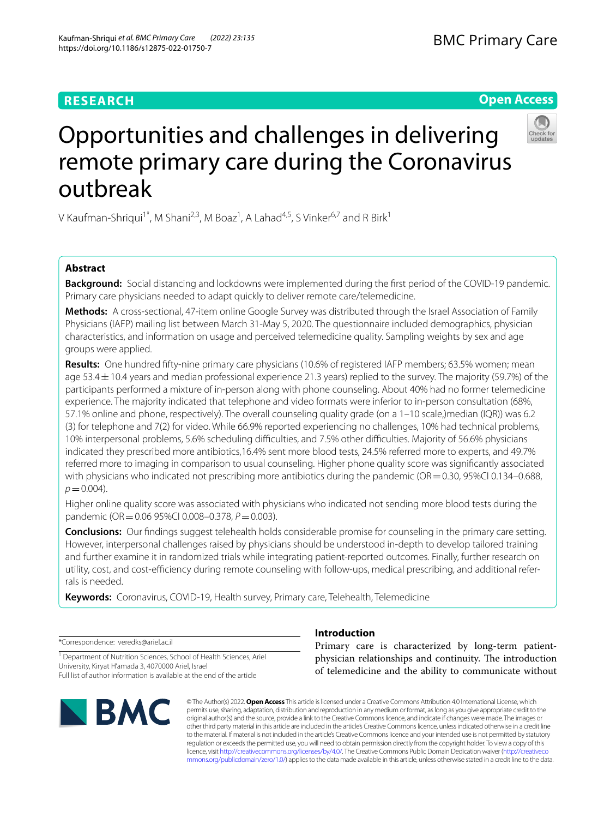# **RESEARCH**

# **Open Access**



# Opportunities and challenges in delivering remote primary care during the Coronavirus outbreak

V Kaufman-Shriqui<sup>1\*</sup>, M Shani<sup>2,3</sup>, M Boaz<sup>1</sup>, A Lahad<sup>4,5</sup>, S Vinker<sup>6,7</sup> and R Birk<sup>1</sup>

# **Abstract**

**Background:** Social distancing and lockdowns were implemented during the frst period of the COVID-19 pandemic. Primary care physicians needed to adapt quickly to deliver remote care/telemedicine.

**Methods:** A cross-sectional, 47-item online Google Survey was distributed through the Israel Association of Family Physicians (IAFP) mailing list between March 31-May 5, 2020. The questionnaire included demographics, physician characteristics, and information on usage and perceived telemedicine quality. Sampling weights by sex and age groups were applied.

**Results:** One hundred ffty-nine primary care physicians (10.6% of registered IAFP members; 63.5% women; mean age 53.4±10.4 years and median professional experience 21.3 years) replied to the survey. The majority (59.7%) of the participants performed a mixture of in-person along with phone counseling. About 40% had no former telemedicine experience. The majority indicated that telephone and video formats were inferior to in-person consultation (68%, 57.1% online and phone, respectively). The overall counseling quality grade (on a 1–10 scale,)median (IQR)) was 6.2 (3) for telephone and 7(2) for video. While 66.9% reported experiencing no challenges, 10% had technical problems, 10% interpersonal problems, 5.6% scheduling difficulties, and 7.5% other difficulties. Majority of 56.6% physicians indicated they prescribed more antibiotics,16.4% sent more blood tests, 24.5% referred more to experts, and 49.7% referred more to imaging in comparison to usual counseling. Higher phone quality score was signifcantly associated with physicians who indicated not prescribing more antibiotics during the pandemic ( $OR = 0.30$ , 95%CI 0.134–0.688,  $p = 0.004$ .

Higher online quality score was associated with physicians who indicated not sending more blood tests during the pandemic (OR=0.06 95%CI 0.008–0.378, *P*=0.003).

**Conclusions:** Our fndings suggest telehealth holds considerable promise for counseling in the primary care setting. However, interpersonal challenges raised by physicians should be understood in-depth to develop tailored training and further examine it in randomized trials while integrating patient-reported outcomes. Finally, further research on utility, cost, and cost-efficiency during remote counseling with follow-ups, medical prescribing, and additional referrals is needed.

**Keywords:** Coronavirus, COVID-19, Health survey, Primary care, Telehealth, Telemedicine

\*Correspondence: veredks@ariel.ac.il

<sup>1</sup> Department of Nutrition Sciences, School of Health Sciences, Ariel University, Kiryat H'amada 3, 4070000 Ariel, Israel Full list of author information is available at the end of the article



# **Introduction**

Primary care is characterized by long-term patientphysician relationships and continuity. The introduction of telemedicine and the ability to communicate without

© The Author(s) 2022. **Open Access** This article is licensed under a Creative Commons Attribution 4.0 International License, which permits use, sharing, adaptation, distribution and reproduction in any medium or format, as long as you give appropriate credit to the original author(s) and the source, provide a link to the Creative Commons licence, and indicate if changes were made. The images or other third party material in this article are included in the article's Creative Commons licence, unless indicated otherwise in a credit line to the material. If material is not included in the article's Creative Commons licence and your intended use is not permitted by statutory regulation or exceeds the permitted use, you will need to obtain permission directly from the copyright holder. To view a copy of this licence, visit [http://creativecommons.org/licenses/by/4.0/.](http://creativecommons.org/licenses/by/4.0/) The Creative Commons Public Domain Dedication waiver ([http://creativeco](http://creativecommons.org/publicdomain/zero/1.0/) [mmons.org/publicdomain/zero/1.0/](http://creativecommons.org/publicdomain/zero/1.0/)) applies to the data made available in this article, unless otherwise stated in a credit line to the data.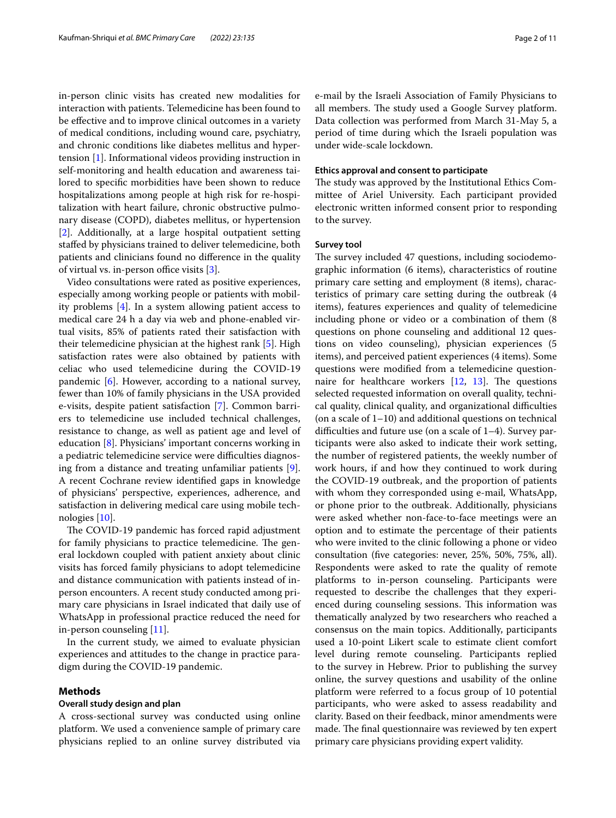in-person clinic visits has created new modalities for interaction with patients. Telemedicine has been found to be efective and to improve clinical outcomes in a variety of medical conditions, including wound care, psychiatry, and chronic conditions like diabetes mellitus and hypertension [\[1](#page-10-0)]. Informational videos providing instruction in self-monitoring and health education and awareness tailored to specifc morbidities have been shown to reduce hospitalizations among people at high risk for re-hospitalization with heart failure, chronic obstructive pulmonary disease (COPD), diabetes mellitus, or hypertension [[2\]](#page-10-1). Additionally, at a large hospital outpatient setting stafed by physicians trained to deliver telemedicine, both patients and clinicians found no diference in the quality of virtual vs. in-person office visits  $[3]$  $[3]$ .

Video consultations were rated as positive experiences, especially among working people or patients with mobility problems [\[4\]](#page-10-3). In a system allowing patient access to medical care 24 h a day via web and phone-enabled virtual visits, 85% of patients rated their satisfaction with their telemedicine physician at the highest rank [\[5](#page-10-4)]. High satisfaction rates were also obtained by patients with celiac who used telemedicine during the COVID-19 pandemic [[6\]](#page-10-5). However, according to a national survey, fewer than 10% of family physicians in the USA provided e-visits, despite patient satisfaction [\[7](#page-10-6)]. Common barriers to telemedicine use included technical challenges, resistance to change, as well as patient age and level of education [[8\]](#page-10-7). Physicians' important concerns working in a pediatric telemedicine service were difficulties diagnosing from a distance and treating unfamiliar patients [\[9](#page-10-8)]. A recent Cochrane review identifed gaps in knowledge of physicians' perspective, experiences, adherence, and satisfaction in delivering medical care using mobile technologies [\[10](#page-10-9)].

The COVID-19 pandemic has forced rapid adjustment for family physicians to practice telemedicine. The general lockdown coupled with patient anxiety about clinic visits has forced family physicians to adopt telemedicine and distance communication with patients instead of inperson encounters. A recent study conducted among primary care physicians in Israel indicated that daily use of WhatsApp in professional practice reduced the need for in-person counseling [\[11](#page-10-10)].

In the current study, we aimed to evaluate physician experiences and attitudes to the change in practice paradigm during the COVID-19 pandemic.

## **Methods**

## **Overall study design and plan**

A cross-sectional survey was conducted using online platform. We used a convenience sample of primary care physicians replied to an online survey distributed via e-mail by the Israeli Association of Family Physicians to all members. The study used a Google Survey platform. Data collection was performed from March 31-May 5, a period of time during which the Israeli population was under wide-scale lockdown.

## **Ethics approval and consent to participate**

The study was approved by the Institutional Ethics Committee of Ariel University. Each participant provided electronic written informed consent prior to responding to the survey.

## **Survey tool**

The survey included 47 questions, including sociodemographic information (6 items), characteristics of routine primary care setting and employment (8 items), characteristics of primary care setting during the outbreak (4 items), features experiences and quality of telemedicine including phone or video or a combination of them (8 questions on phone counseling and additional 12 questions on video counseling), physician experiences (5 items), and perceived patient experiences (4 items). Some questions were modifed from a telemedicine questionnaire for healthcare workers  $[12, 13]$  $[12, 13]$  $[12, 13]$ . The questions selected requested information on overall quality, technical quality, clinical quality, and organizational difficulties (on a scale of  $1-10$ ) and additional questions on technical difficulties and future use (on a scale of  $1-4$ ). Survey participants were also asked to indicate their work setting, the number of registered patients, the weekly number of work hours, if and how they continued to work during the COVID-19 outbreak, and the proportion of patients with whom they corresponded using e-mail, WhatsApp, or phone prior to the outbreak. Additionally, physicians were asked whether non-face-to-face meetings were an option and to estimate the percentage of their patients who were invited to the clinic following a phone or video consultation (fve categories: never, 25%, 50%, 75%, all). Respondents were asked to rate the quality of remote platforms to in-person counseling. Participants were requested to describe the challenges that they experienced during counseling sessions. This information was thematically analyzed by two researchers who reached a consensus on the main topics. Additionally, participants used a 10-point Likert scale to estimate client comfort level during remote counseling. Participants replied to the survey in Hebrew. Prior to publishing the survey online, the survey questions and usability of the online platform were referred to a focus group of 10 potential participants, who were asked to assess readability and clarity. Based on their feedback, minor amendments were made. The final questionnaire was reviewed by ten expert primary care physicians providing expert validity.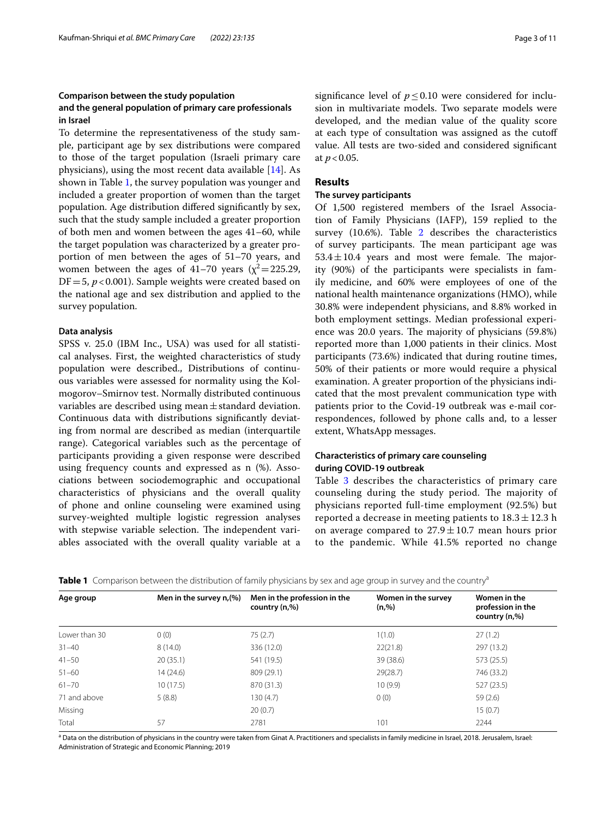# **Comparison between the study population and the general population of primary care professionals in Israel**

To determine the representativeness of the study sample, participant age by sex distributions were compared to those of the target population (Israeli primary care physicians), using the most recent data available [[14](#page-10-13)]. As shown in Table [1,](#page-2-0) the survey population was younger and included a greater proportion of women than the target population. Age distribution difered signifcantly by sex, such that the study sample included a greater proportion of both men and women between the ages 41–60, while the target population was characterized by a greater proportion of men between the ages of 51–70 years, and women between the ages of 41–70 years ( $\chi^2$  = 225.29,  $DF = 5$ ,  $p < 0.001$ ). Sample weights were created based on the national age and sex distribution and applied to the survey population.

## **Data analysis**

SPSS v. 25.0 (IBM Inc., USA) was used for all statistical analyses. First, the weighted characteristics of study population were described., Distributions of continuous variables were assessed for normality using the Kolmogorov–Smirnov test. Normally distributed continuous variables are described using mean $\pm$ standard deviation. Continuous data with distributions signifcantly deviating from normal are described as median (interquartile range). Categorical variables such as the percentage of participants providing a given response were described using frequency counts and expressed as n (%). Associations between sociodemographic and occupational characteristics of physicians and the overall quality of phone and online counseling were examined using survey-weighted multiple logistic regression analyses with stepwise variable selection. The independent variables associated with the overall quality variable at a significance level of  $p \le 0.10$  were considered for inclusion in multivariate models. Two separate models were developed, and the median value of the quality score at each type of consultation was assigned as the cutof value. All tests are two-sided and considered signifcant at *p*<0.05.

# **Results**

## **The survey participants**

Of 1,500 registered members of the Israel Association of Family Physicians (IAFP), 159 replied to the survey (10.6%). Table [2](#page-3-0) describes the characteristics of survey participants. The mean participant age was  $53.4 \pm 10.4$  years and most were female. The majority (90%) of the participants were specialists in family medicine, and 60% were employees of one of the national health maintenance organizations (HMO), while 30.8% were independent physicians, and 8.8% worked in both employment settings. Median professional experience was 20.0 years. The majority of physicians (59.8%) reported more than 1,000 patients in their clinics. Most participants (73.6%) indicated that during routine times, 50% of their patients or more would require a physical examination. A greater proportion of the physicians indicated that the most prevalent communication type with patients prior to the Covid-19 outbreak was e-mail correspondences, followed by phone calls and, to a lesser extent, WhatsApp messages.

# **Characteristics of primary care counseling during COVID‑19 outbreak**

Table [3](#page-4-0) describes the characteristics of primary care counseling during the study period. The majority of physicians reported full-time employment (92.5%) but reported a decrease in meeting patients to  $18.3 \pm 12.3$  h on average compared to  $27.9 \pm 10.7$  mean hours prior to the pandemic. While 41.5% reported no change

<span id="page-2-0"></span>

| Table 1 Comparison between the distribution of family physicians by sex and age group in survey and the country <sup>a</sup> |  |  |  |
|------------------------------------------------------------------------------------------------------------------------------|--|--|--|
|------------------------------------------------------------------------------------------------------------------------------|--|--|--|

| Age group     | Men in the survey $n,(%)$ | Men in the profession in the<br>country (n,%) | Women in the survey<br>(n, %) | Women in the<br>profession in the<br>country (n,%) |
|---------------|---------------------------|-----------------------------------------------|-------------------------------|----------------------------------------------------|
| Lower than 30 | 0(0)                      | 75(2.7)                                       | 1(1.0)                        | 27(1.2)                                            |
| $31 - 40$     | 8(14.0)                   | 336 (12.0)                                    | 22(21.8)                      | 297 (13.2)                                         |
| $41 - 50$     | 20(35.1)                  | 541 (19.5)                                    | 39 (38.6)                     | 573 (25.5)                                         |
| $51 - 60$     | 14 (24.6)                 | 809 (29.1)                                    | 29(28.7)                      | 746 (33.2)                                         |
| $61 - 70$     | 10(17.5)                  | 870 (31.3)                                    | 10(9.9)                       | 527 (23.5)                                         |
| 71 and above  | 5(8.8)                    | 130(4.7)                                      | 0(0)                          | 59(2.6)                                            |
| Missing       |                           | 20(0.7)                                       |                               | 15(0.7)                                            |
| Total         | 57                        | 2781                                          | 101                           | 2244                                               |

<sup>a</sup> Data on the distribution of physicians in the country were taken from Ginat A. Practitioners and specialists in family medicine in Israel, 2018. Jerusalem, Israel: Administration of Strategic and Economic Planning; 2019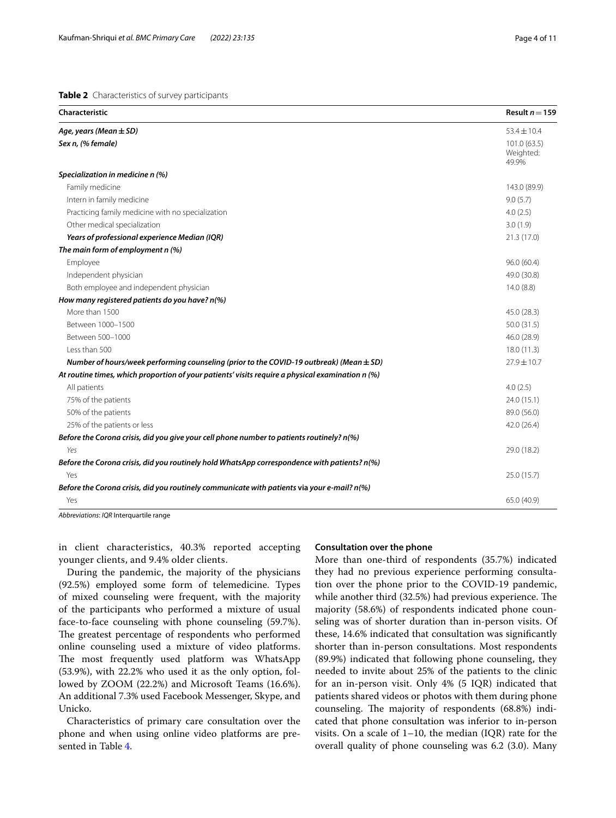<span id="page-3-0"></span>**Table 2** Characteristics of survey participants

| Characteristic                                                                                   | Result $n = 159$                   |
|--------------------------------------------------------------------------------------------------|------------------------------------|
| Age, years (Mean $\pm$ SD)                                                                       | $53.4 \pm 10.4$                    |
| Sex n, (% female)                                                                                | 101.0 (63.5)<br>Weighted:<br>49.9% |
| Specialization in medicine n (%)                                                                 |                                    |
| Family medicine                                                                                  | 143.0 (89.9)                       |
| Intern in family medicine                                                                        | 9.0(5.7)                           |
| Practicing family medicine with no specialization                                                | 4.0(2.5)                           |
| Other medical specialization                                                                     | 3.0(1.9)                           |
| Years of professional experience Median (IQR)                                                    | 21.3(17.0)                         |
| The main form of employment n (%)                                                                |                                    |
| Employee                                                                                         | 96.0 (60.4)                        |
| Independent physician                                                                            | 49.0 (30.8)                        |
| Both employee and independent physician                                                          | 14.0(8.8)                          |
| How many registered patients do you have? n(%)                                                   |                                    |
| More than 1500                                                                                   | 45.0 (28.3)                        |
| Between 1000-1500                                                                                | 50.0 (31.5)                        |
| Between 500-1000                                                                                 | 46.0 (28.9)                        |
| Less than 500                                                                                    | 18.0 (11.3)                        |
| Number of hours/week performing counseling (prior to the COVID-19 outbreak) (Mean $\pm$ SD)      | $27.9 \pm 10.7$                    |
| At routine times, which proportion of your patients' visits require a physical examination n (%) |                                    |
| All patients                                                                                     | 4.0(2.5)                           |
| 75% of the patients                                                                              | 24.0 (15.1)                        |
| 50% of the patients                                                                              | 89.0 (56.0)                        |
| 25% of the patients or less                                                                      | 42.0 (26.4)                        |
| Before the Corona crisis, did you give your cell phone number to patients routinely? n(%)        |                                    |
| Yes                                                                                              | 29.0 (18.2)                        |
| Before the Corona crisis, did you routinely hold WhatsApp correspondence with patients? n(%)     |                                    |
| Yes                                                                                              | 25.0 (15.7)                        |
| Before the Corona crisis, did you routinely communicate with patients via your e-mail? n(%)      |                                    |
| Yes                                                                                              | 65.0 (40.9)                        |

*Abbreviations*: *IQR* Interquartile range

in client characteristics, 40.3% reported accepting younger clients, and 9.4% older clients.

# **Consultation over the phone**

During the pandemic, the majority of the physicians (92.5%) employed some form of telemedicine. Types of mixed counseling were frequent, with the majority of the participants who performed a mixture of usual face-to-face counseling with phone counseling (59.7%). The greatest percentage of respondents who performed online counseling used a mixture of video platforms. The most frequently used platform was WhatsApp (53.9%), with 22.2% who used it as the only option, followed by ZOOM (22.2%) and Microsoft Teams (16.6%). An additional 7.3% used Facebook Messenger, Skype, and Unicko.

Characteristics of primary care consultation over the phone and when using online video platforms are presented in Table [4.](#page-5-0)

More than one-third of respondents (35.7%) indicated they had no previous experience performing consultation over the phone prior to the COVID-19 pandemic, while another third (32.5%) had previous experience. The majority (58.6%) of respondents indicated phone counseling was of shorter duration than in-person visits. Of these, 14.6% indicated that consultation was signifcantly shorter than in-person consultations. Most respondents (89.9%) indicated that following phone counseling, they needed to invite about 25% of the patients to the clinic for an in-person visit. Only 4% (5 IQR) indicated that patients shared videos or photos with them during phone counseling. The majority of respondents (68.8%) indicated that phone consultation was inferior to in-person visits. On a scale of 1–10, the median (IQR) rate for the overall quality of phone counseling was 6.2 (3.0). Many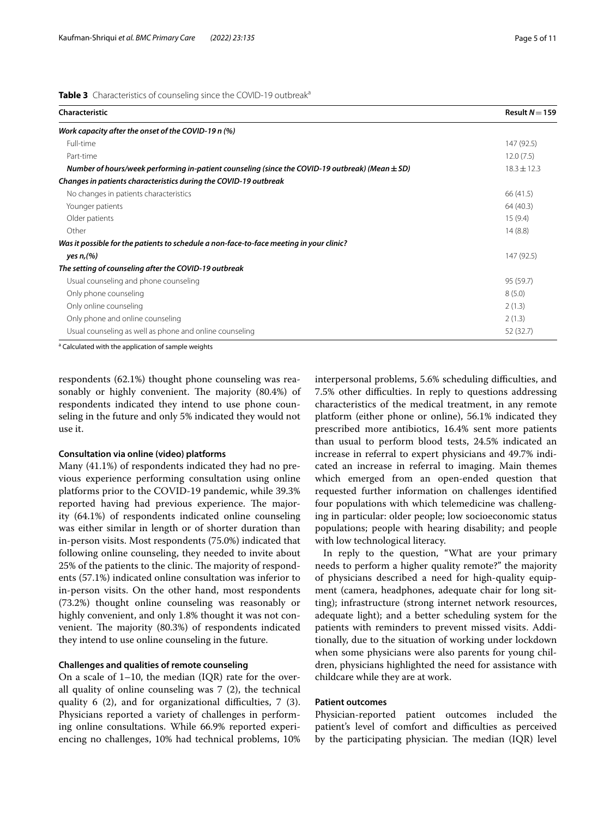<span id="page-4-0"></span>

| Characteristic                                                                                      | Result $N = 159$ |
|-----------------------------------------------------------------------------------------------------|------------------|
| Work capacity after the onset of the COVID-19 n (%)                                                 |                  |
| Full-time                                                                                           | 147 (92.5)       |
| Part-time                                                                                           | 12.0(7.5)        |
| Number of hours/week performing in-patient counseling (since the COVID-19 outbreak) (Mean $\pm$ SD) | $18.3 \pm 12.3$  |
| Changes in patients characteristics during the COVID-19 outbreak                                    |                  |
| No changes in patients characteristics                                                              | 66 (41.5)        |
| Younger patients                                                                                    | 64 (40.3)        |
| Older patients                                                                                      | 15(9.4)          |
| Other                                                                                               | 14(8.8)          |
| Was it possible for the patients to schedule a non-face-to-face meeting in your clinic?             |                  |
| yes $n_r$ (%)                                                                                       | 147 (92.5)       |
| The setting of counseling after the COVID-19 outbreak                                               |                  |
| Usual counseling and phone counseling                                                               | 95 (59.7)        |
| Only phone counseling                                                                               | 8(5.0)           |
| Only online counseling                                                                              | 2(1.3)           |
| Only phone and online counseling                                                                    | 2(1.3)           |
| Usual counseling as well as phone and online counseling                                             | 52 (32.7)        |

<sup>a</sup> Calculated with the application of sample weights

respondents (62.1%) thought phone counseling was reasonably or highly convenient. The majority (80.4%) of respondents indicated they intend to use phone counseling in the future and only 5% indicated they would not use it.

### **Consultation via online (video) platforms**

Many (41.1%) of respondents indicated they had no previous experience performing consultation using online platforms prior to the COVID-19 pandemic, while 39.3% reported having had previous experience. The majority (64.1%) of respondents indicated online counseling was either similar in length or of shorter duration than in-person visits. Most respondents (75.0%) indicated that following online counseling, they needed to invite about 25% of the patients to the clinic. The majority of respondents (57.1%) indicated online consultation was inferior to in-person visits. On the other hand, most respondents (73.2%) thought online counseling was reasonably or highly convenient, and only 1.8% thought it was not convenient. The majority (80.3%) of respondents indicated they intend to use online counseling in the future.

# **Challenges and qualities of remote counseling**

On a scale of  $1-10$ , the median (IQR) rate for the overall quality of online counseling was 7 (2), the technical quality  $6$  (2), and for organizational difficulties,  $7$  (3). Physicians reported a variety of challenges in performing online consultations. While 66.9% reported experiencing no challenges, 10% had technical problems, 10% interpersonal problems, 5.6% scheduling difficulties, and 7.5% other difficulties. In reply to questions addressing characteristics of the medical treatment, in any remote platform (either phone or online), 56.1% indicated they prescribed more antibiotics, 16.4% sent more patients than usual to perform blood tests, 24.5% indicated an increase in referral to expert physicians and 49.7% indicated an increase in referral to imaging. Main themes which emerged from an open-ended question that requested further information on challenges identifed four populations with which telemedicine was challenging in particular: older people; low socioeconomic status populations; people with hearing disability; and people with low technological literacy.

In reply to the question, "What are your primary needs to perform a higher quality remote?" the majority of physicians described a need for high-quality equipment (camera, headphones, adequate chair for long sitting); infrastructure (strong internet network resources, adequate light); and a better scheduling system for the patients with reminders to prevent missed visits. Additionally, due to the situation of working under lockdown when some physicians were also parents for young children, physicians highlighted the need for assistance with childcare while they are at work.

## **Patient outcomes**

Physician-reported patient outcomes included the patient's level of comfort and difficulties as perceived by the participating physician. The median (IQR) level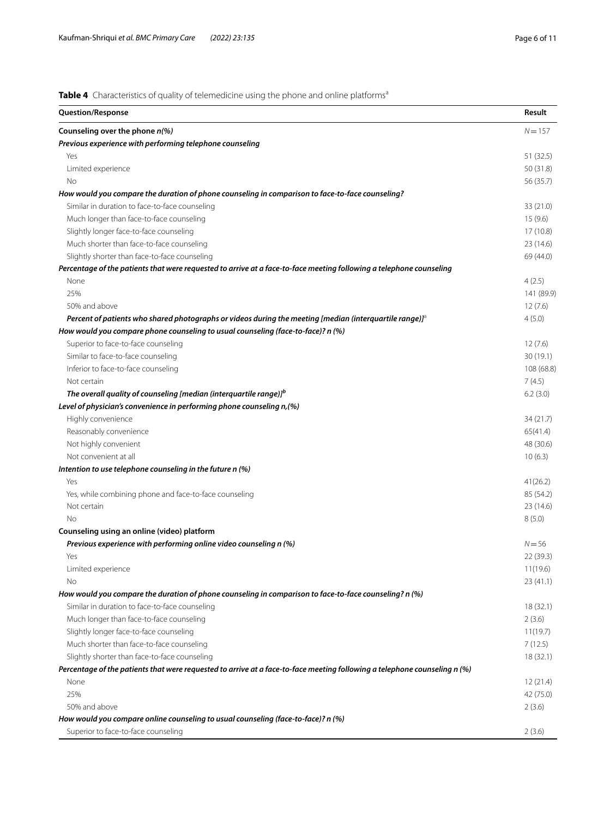<span id="page-5-0"></span>**Table 4** Characteristics of quality of telemedicine using the phone and online platforms<sup>a</sup>

| <b>Question/Response</b>                                                                                                              | Result     |
|---------------------------------------------------------------------------------------------------------------------------------------|------------|
| Counseling over the phone $n$ (%)                                                                                                     | $N = 157$  |
| Previous experience with performing telephone counseling                                                                              |            |
| Yes                                                                                                                                   | 51 (32.5)  |
| Limited experience                                                                                                                    | 50 (31.8)  |
| No                                                                                                                                    | 56 (35.7)  |
| How would you compare the duration of phone counseling in comparison to face-to-face counseling?                                      |            |
| Similar in duration to face-to-face counseling                                                                                        | 33 (21.0)  |
| Much longer than face-to-face counseling                                                                                              | 15(9.6)    |
| Slightly longer face-to-face counseling                                                                                               | 17(10.8)   |
| Much shorter than face-to-face counseling                                                                                             | 23(14.6)   |
| Slightly shorter than face-to-face counseling                                                                                         | 69 (44.0)  |
| Percentage of the patients that were requested to arrive at a face-to-face meeting following a telephone counseling                   |            |
| None                                                                                                                                  | 4(2.5)     |
| 25%                                                                                                                                   | 141 (89.9) |
| 50% and above                                                                                                                         | 12(7.6)    |
| Percent of patients who shared photographs or videos during the meeting [median (interquartile range)] <sup><math>\delta</math></sup> | 4(5.0)     |
| How would you compare phone counseling to usual counseling (face-to-face)? n (%)                                                      |            |
| Superior to face-to-face counseling                                                                                                   | 12(7.6)    |
| Similar to face-to-face counseling                                                                                                    | 30(19.1)   |
| Inferior to face-to-face counseling                                                                                                   | 108 (68.8) |
| Not certain                                                                                                                           | 7(4.5)     |
| The overall quality of counseling [median (interquartile range)] <sup>b</sup>                                                         | 6.2(3.0)   |
| Level of physician's convenience in performing phone counseling n, (%)                                                                |            |
| Highly convenience                                                                                                                    | 34 (21.7)  |
| Reasonably convenience                                                                                                                | 65(41.4)   |
| Not highly convenient                                                                                                                 | 48 (30.6)  |
| Not convenient at all                                                                                                                 | 10(6.3)    |
| Intention to use telephone counseling in the future n (%)                                                                             |            |
| Yes                                                                                                                                   | 41(26.2)   |
| Yes, while combining phone and face-to-face counseling                                                                                | 85 (54.2)  |
| Not certain                                                                                                                           | 23(14.6)   |
| No                                                                                                                                    | 8(5.0)     |
| Counseling using an online (video) platform                                                                                           |            |
| Previous experience with performing online video counseling n (%)                                                                     | $N = 56$   |
| Yes                                                                                                                                   | 22 (39.3)  |
| Limited experience                                                                                                                    | 11(19.6)   |
|                                                                                                                                       |            |
| Νo<br>How would you compare the duration of phone counseling in comparison to face-to-face counseling? n (%)                          | 23(41.1)   |
|                                                                                                                                       |            |
| Similar in duration to face-to-face counseling                                                                                        | 18(32.1)   |
| Much longer than face-to-face counseling                                                                                              | 2(3.6)     |
| Slightly longer face-to-face counseling                                                                                               | 11(19.7)   |
| Much shorter than face-to-face counseling                                                                                             | 7(12.5)    |
| Slightly shorter than face-to-face counseling                                                                                         | 18(32.1)   |
| Percentage of the patients that were requested to arrive at a face-to-face meeting following a telephone counseling n (%)             |            |
| None                                                                                                                                  | 12(21.4)   |
| 25%                                                                                                                                   | 42 (75.0)  |
| 50% and above                                                                                                                         | 2(3.6)     |
| How would you compare online counseling to usual counseling (face-to-face)? n (%)                                                     |            |
| Superior to face-to-face counseling                                                                                                   | 2(3.6)     |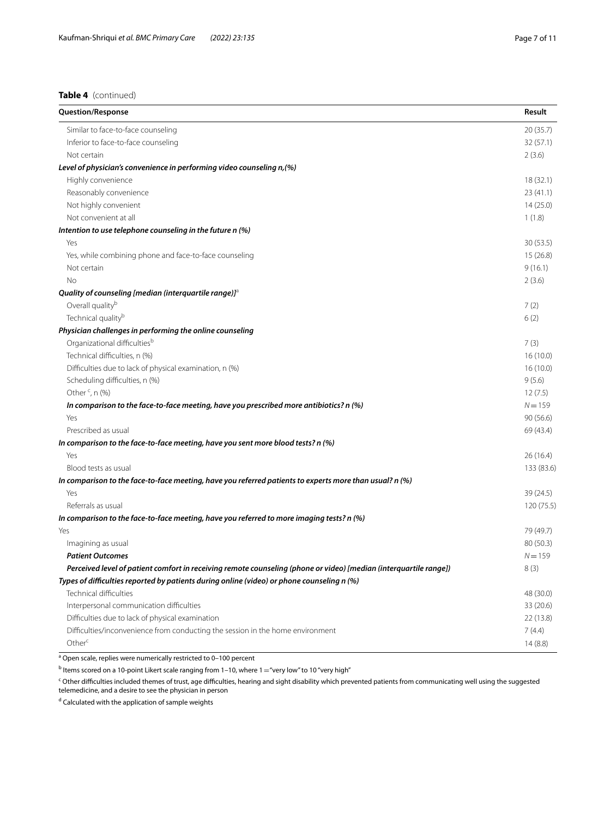# **Table 4** (continued)

| <b>Question/Response</b>                                                                                          | Result     |
|-------------------------------------------------------------------------------------------------------------------|------------|
| Similar to face-to-face counseling                                                                                | 20(35.7)   |
| Inferior to face-to-face counseling                                                                               | 32(57.1)   |
| Not certain                                                                                                       | 2(3.6)     |
| Level of physician's convenience in performing video counseling n, (%)                                            |            |
| Highly convenience                                                                                                | 18(32.1)   |
| Reasonably convenience                                                                                            | 23(41.1)   |
| Not highly convenient                                                                                             | 14(25.0)   |
| Not convenient at all                                                                                             | 1(1.8)     |
| Intention to use telephone counseling in the future n (%)                                                         |            |
| Yes                                                                                                               | 30(53.5)   |
| Yes, while combining phone and face-to-face counseling                                                            | 15(26.8)   |
| Not certain                                                                                                       | 9(16.1)    |
| <b>No</b>                                                                                                         | 2(3.6)     |
| Quality of counseling [median (interquartile range)] $a$                                                          |            |
| Overall quality <sup>b</sup>                                                                                      | 7(2)       |
| Technical quality <sup>b</sup>                                                                                    | 6(2)       |
| Physician challenges in performing the online counseling                                                          |            |
| Organizational difficulties <sup>b</sup>                                                                          | 7(3)       |
| Technical difficulties, n (%)                                                                                     | 16(10.0)   |
| Difficulties due to lack of physical examination, n (%)                                                           | 16(10.0)   |
| Scheduling difficulties, n (%)                                                                                    | 9(5.6)     |
| Other <sup>c</sup> , n (%)                                                                                        | 12(7.5)    |
| In comparison to the face-to-face meeting, have you prescribed more antibiotics? n (%)                            | $N = 159$  |
| Yes                                                                                                               | 90(56.6)   |
| Prescribed as usual                                                                                               | 69 (43.4)  |
| In comparison to the face-to-face meeting, have you sent more blood tests? n (%)                                  |            |
| Yes                                                                                                               | 26(16.4)   |
| Blood tests as usual                                                                                              | 133 (83.6) |
| In comparison to the face-to-face meeting, have you referred patients to experts more than usual? n (%)           |            |
| Yes                                                                                                               | 39 (24.5)  |
| Referrals as usual                                                                                                | 120 (75.5) |
| In comparison to the face-to-face meeting, have you referred to more imaging tests? n (%)                         |            |
| Yes                                                                                                               | 79 (49.7)  |
| Imagining as usual                                                                                                | 80 (50.3)  |
| <b>Patient Outcomes</b>                                                                                           | $N = 159$  |
| Perceived level of patient comfort in receiving remote counseling (phone or video) [median (interquartile range]) | 8 (3)      |
| Types of difficulties reported by patients during online (video) or phone counseling n (%)                        |            |
| Technical difficulties                                                                                            | 48 (30.0)  |
| Interpersonal communication difficulties                                                                          | 33 (20.6)  |
| Difficulties due to lack of physical examination                                                                  | 22 (13.8)  |
| Difficulties/inconvenience from conducting the session in the home environment                                    | 7(4.4)     |
| Other <sup>c</sup>                                                                                                | 14(8.8)    |

<sup>a</sup> Open scale, replies were numerically restricted to 0-100 percent

 $^{\rm b}$  Items scored on a 10-point Likert scale ranging from 1–10, where 1 $=$  "very low" to 10 "very high"

<sup>c</sup> Other difficulties included themes of trust, age difficulties, hearing and sight disability which prevented patients from communicating well using the suggested telemedicine, and a desire to see the physician in person

<sup>d</sup> Calculated with the application of sample weights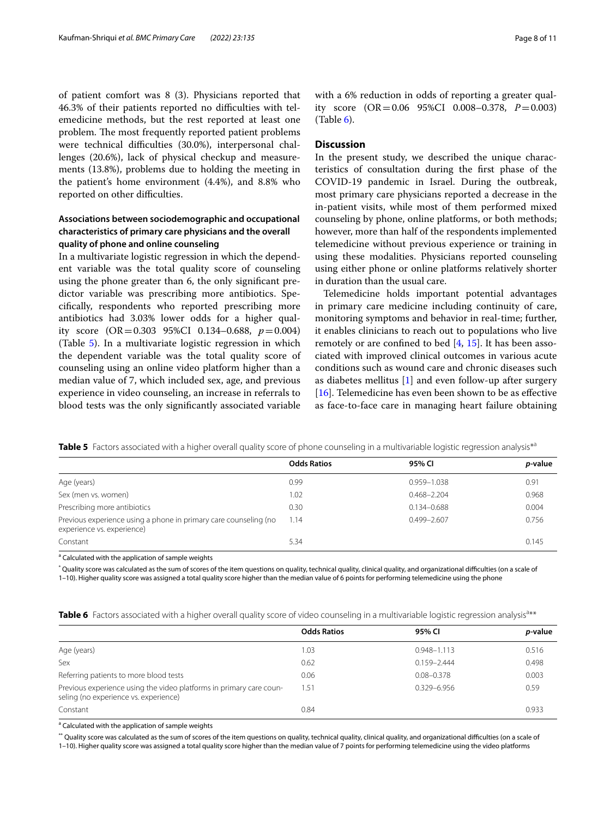of patient comfort was 8 (3). Physicians reported that 46.3% of their patients reported no difficulties with telemedicine methods, but the rest reported at least one problem. The most frequently reported patient problems were technical difficulties (30.0%), interpersonal challenges (20.6%), lack of physical checkup and measurements (13.8%), problems due to holding the meeting in the patient's home environment (4.4%), and 8.8% who reported on other difficulties.

# **Associations between sociodemographic and occupational characteristics of primary care physicians and the overall quality of phone and online counseling**

In a multivariate logistic regression in which the dependent variable was the total quality score of counseling using the phone greater than 6, the only signifcant predictor variable was prescribing more antibiotics. Specifcally, respondents who reported prescribing more antibiotics had 3.03% lower odds for a higher quality score (OR=0.303 95%CI 0.134–0.688, *p*=0.004) (Table [5](#page-7-0)). In a multivariate logistic regression in which the dependent variable was the total quality score of counseling using an online video platform higher than a median value of 7, which included sex, age, and previous experience in video counseling, an increase in referrals to blood tests was the only signifcantly associated variable with a 6% reduction in odds of reporting a greater quality score (OR=0.06 95%CI 0.008–0.378, *P*=0.003)  $(Table 6)$  $(Table 6)$ .

## **Discussion**

In the present study, we described the unique characteristics of consultation during the frst phase of the COVID-19 pandemic in Israel. During the outbreak, most primary care physicians reported a decrease in the in-patient visits, while most of them performed mixed counseling by phone, online platforms, or both methods; however, more than half of the respondents implemented telemedicine without previous experience or training in using these modalities. Physicians reported counseling using either phone or online platforms relatively shorter in duration than the usual care.

Telemedicine holds important potential advantages in primary care medicine including continuity of care, monitoring symptoms and behavior in real-time; further, it enables clinicians to reach out to populations who live remotely or are confined to bed  $[4, 15]$  $[4, 15]$  $[4, 15]$  $[4, 15]$ . It has been associated with improved clinical outcomes in various acute conditions such as wound care and chronic diseases such as diabetes mellitus  $[1]$  $[1]$  and even follow-up after surgery [[16\]](#page-10-15). Telemedicine has even been shown to be as effective as face-to-face care in managing heart failure obtaining

<span id="page-7-0"></span>**Table 5** Factors associated with a higher overall quality score of phone counseling in a multivariable logistic regression analysis<sup>\*a</sup>

|                                                                                                | <b>Odds Ratios</b> | 95% CI          | <i>p</i> -value |
|------------------------------------------------------------------------------------------------|--------------------|-----------------|-----------------|
| Age (years)                                                                                    | 0.99               | 0.959-1.038     | 0.91            |
| Sex (men vs. women)                                                                            | 1.02               | $0.468 - 2.204$ | 0.968           |
| Prescribing more antibiotics                                                                   | 0.30               | $0.134 - 0.688$ | 0.004           |
| Previous experience using a phone in primary care counseling (no<br>experience vs. experience) | 1.14               | $0.499 - 2.607$ | 0.756           |
| Constant                                                                                       | 5.34               |                 | 0.145           |

<sup>a</sup> Calculated with the application of sample weights

\* Quality score was calculated as the sum of scores of the item questions on quality, technical quality, clinical quality, and organizational difculties (on a scale of 1–10). Higher quality score was assigned a total quality score higher than the median value of 6 points for performing telemedicine using the phone

<span id="page-7-1"></span>

|  |  |  |  | Table 6 Factors associated with a higher overall quality score of video counseling in a multivariable logistic regression analysis <sup>a**</sup> |  |  |
|--|--|--|--|---------------------------------------------------------------------------------------------------------------------------------------------------|--|--|
|--|--|--|--|---------------------------------------------------------------------------------------------------------------------------------------------------|--|--|

|                                                                                                              | <b>Odds Ratios</b> | 95% CI          | <i>p</i> -value |
|--------------------------------------------------------------------------------------------------------------|--------------------|-----------------|-----------------|
| Age (years)                                                                                                  | 1.03               | $0.948 - 1.113$ | 0.516           |
| Sex                                                                                                          | 0.62               | $0.159 - 2.444$ | 0.498           |
| Referring patients to more blood tests                                                                       | 0.06               | $0.08 - 0.378$  | 0.003           |
| Previous experience using the video platforms in primary care coun-<br>seling (no experience vs. experience) | 1.51               | 0.329-6.956     | 0.59            |
| Constant                                                                                                     | 0.84               |                 | 0.933           |

<sup>a</sup> Calculated with the application of sample weights

\*\* Quality score was calculated as the sum of scores of the item questions on quality, technical quality, clinical quality, and organizational difculties (on a scale of

1–10). Higher quality score was assigned a total quality score higher than the median value of 7 points for performing telemedicine using the video platforms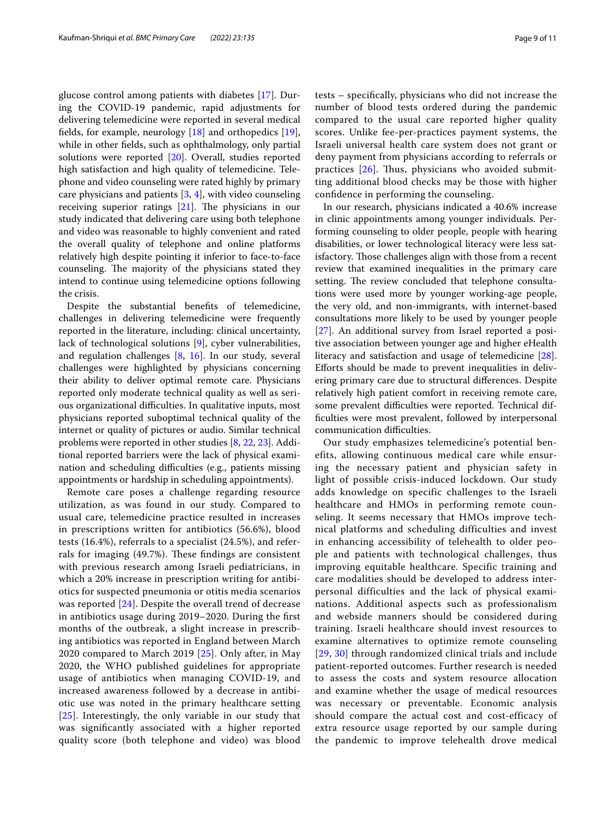glucose control among patients with diabetes [\[17](#page-10-16)]. During the COVID-19 pandemic, rapid adjustments for delivering telemedicine were reported in several medical fields, for example, neurology  $[18]$  $[18]$  $[18]$  and orthopedics  $[19]$  $[19]$ , while in other felds, such as ophthalmology, only partial solutions were reported [\[20](#page-10-19)]. Overall, studies reported high satisfaction and high quality of telemedicine. Telephone and video counseling were rated highly by primary care physicians and patients [[3,](#page-10-2) [4\]](#page-10-3), with video counseling receiving superior ratings  $[21]$  $[21]$ . The physicians in our study indicated that delivering care using both telephone and video was reasonable to highly convenient and rated the overall quality of telephone and online platforms relatively high despite pointing it inferior to face-to-face counseling. The majority of the physicians stated they intend to continue using telemedicine options following the crisis.

Despite the substantial benefts of telemedicine, challenges in delivering telemedicine were frequently reported in the literature, including: clinical uncertainty, lack of technological solutions [\[9](#page-10-8)], cyber vulnerabilities, and regulation challenges  $[8, 16]$  $[8, 16]$  $[8, 16]$  $[8, 16]$  $[8, 16]$ . In our study, several challenges were highlighted by physicians concerning their ability to deliver optimal remote care. Physicians reported only moderate technical quality as well as serious organizational difficulties. In qualitative inputs, most physicians reported suboptimal technical quality of the internet or quality of pictures or audio. Similar technical problems were reported in other studies [[8,](#page-10-7) [22,](#page-10-21) [23](#page-10-22)]. Additional reported barriers were the lack of physical examination and scheduling difficulties (e.g., patients missing appointments or hardship in scheduling appointments).

Remote care poses a challenge regarding resource utilization, as was found in our study. Compared to usual care, telemedicine practice resulted in increases in prescriptions written for antibiotics (56.6%), blood tests (16.4%), referrals to a specialist (24.5%), and referrals for imaging (49.7%). These findings are consistent with previous research among Israeli pediatricians, in which a 20% increase in prescription writing for antibiotics for suspected pneumonia or otitis media scenarios was reported [[24\]](#page-10-23). Despite the overall trend of decrease in antibiotics usage during 2019–2020. During the frst months of the outbreak, a slight increase in prescribing antibiotics was reported in England between March 2020 compared to March 2019 [[25](#page-10-24)]. Only after, in May 2020, the WHO published guidelines for appropriate usage of antibiotics when managing COVID-19, and increased awareness followed by a decrease in antibiotic use was noted in the primary healthcare setting [[25](#page-10-24)]. Interestingly, the only variable in our study that was signifcantly associated with a higher reported quality score (both telephone and video) was blood tests – specifcally, physicians who did not increase the number of blood tests ordered during the pandemic compared to the usual care reported higher quality scores. Unlike fee-per-practices payment systems, the Israeli universal health care system does not grant or deny payment from physicians according to referrals or practices  $[26]$  $[26]$ . Thus, physicians who avoided submitting additional blood checks may be those with higher confdence in performing the counseling.

In our research, physicians indicated a 40.6% increase in clinic appointments among younger individuals. Performing counseling to older people, people with hearing disabilities, or lower technological literacy were less satisfactory. Those challenges align with those from a recent review that examined inequalities in the primary care setting. The review concluded that telephone consultations were used more by younger working-age people, the very old, and non-immigrants, with internet-based consultations more likely to be used by younger people [[27\]](#page-10-26). An additional survey from Israel reported a positive association between younger age and higher eHealth literacy and satisfaction and usage of telemedicine [\[28](#page-10-27)]. Eforts should be made to prevent inequalities in delivering primary care due to structural diferences. Despite relatively high patient comfort in receiving remote care, some prevalent difficulties were reported. Technical diffculties were most prevalent, followed by interpersonal communication difficulties.

Our study emphasizes telemedicine's potential benefits, allowing continuous medical care while ensuring the necessary patient and physician safety in light of possible crisis-induced lockdown. Our study adds knowledge on specific challenges to the Israeli healthcare and HMOs in performing remote counseling. It seems necessary that HMOs improve technical platforms and scheduling difficulties and invest in enhancing accessibility of telehealth to older people and patients with technological challenges, thus improving equitable healthcare. Specific training and care modalities should be developed to address interpersonal difficulties and the lack of physical examinations. Additional aspects such as professionalism and webside manners should be considered during training. Israeli healthcare should invest resources to examine alternatives to optimize remote counseling [[29](#page-10-28), [30\]](#page-10-29) through randomized clinical trials and include patient-reported outcomes. Further research is needed to assess the costs and system resource allocation and examine whether the usage of medical resources was necessary or preventable. Economic analysis should compare the actual cost and cost-efficacy of extra resource usage reported by our sample during the pandemic to improve telehealth drove medical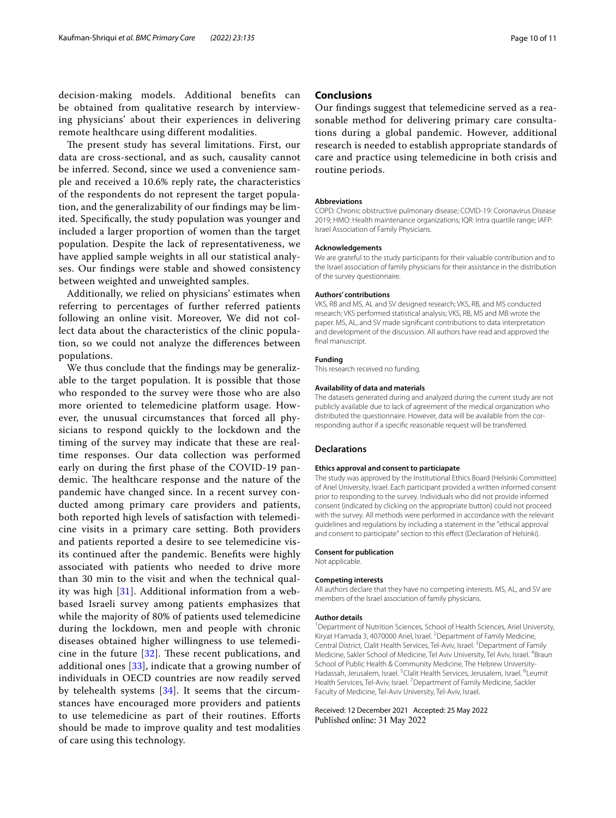The present study has several limitations. First, our data are cross-sectional, and as such, causality cannot be inferred. Second, since we used a convenience sample and received a 10.6% reply rate**,** the characteristics of the respondents do not represent the target population, and the generalizability of our fndings may be limited. Specifcally, the study population was younger and included a larger proportion of women than the target population. Despite the lack of representativeness, we have applied sample weights in all our statistical analyses. Our fndings were stable and showed consistency between weighted and unweighted samples.

Additionally, we relied on physicians' estimates when referring to percentages of further referred patients following an online visit. Moreover, We did not collect data about the characteristics of the clinic population, so we could not analyze the diferences between populations.

We thus conclude that the fndings may be generalizable to the target population. It is possible that those who responded to the survey were those who are also more oriented to telemedicine platform usage. However, the unusual circumstances that forced all physicians to respond quickly to the lockdown and the timing of the survey may indicate that these are realtime responses. Our data collection was performed early on during the frst phase of the COVID-19 pandemic. The healthcare response and the nature of the pandemic have changed since. In a recent survey conducted among primary care providers and patients, both reported high levels of satisfaction with telemedicine visits in a primary care setting. Both providers and patients reported a desire to see telemedicine visits continued after the pandemic. Benefts were highly associated with patients who needed to drive more than 30 min to the visit and when the technical quality was high [[31](#page-10-30)]. Additional information from a webbased Israeli survey among patients emphasizes that while the majority of 80% of patients used telemedicine during the lockdown, men and people with chronic diseases obtained higher willingness to use telemedicine in the future  $[32]$  $[32]$ . These recent publications, and additional ones [\[33\]](#page-10-32), indicate that a growing number of individuals in OECD countries are now readily served by telehealth systems [\[34](#page-10-33)]. It seems that the circumstances have encouraged more providers and patients to use telemedicine as part of their routines. Eforts should be made to improve quality and test modalities of care using this technology.

# **Conclusions**

Our fndings suggest that telemedicine served as a reasonable method for delivering primary care consultations during a global pandemic. However, additional research is needed to establish appropriate standards of care and practice using telemedicine in both crisis and routine periods.

#### **Abbreviations**

COPD: Chronic obstructive pulmonary disease; COVID-19: Coronavirus Disease 2019; HMO: Health maintenance organizations; IQR: Intra quartile range; IAFP: Israel Association of Family Physicians.

#### **Acknowledgements**

We are grateful to the study participants for their valuable contribution and to the Israel association of family physicians for their assistance in the distribution of the survey questionnaire.

#### **Authors' contributions**

VKS, RB and MS, AL and SV designed research; VKS, RB, and MS conducted research; VKS performed statistical analysis; VKS, RB, MS and MB wrote the paper. MS, AL, and SV made signifcant contributions to data interpretation and development of the discussion. All authors have read and approved the final manuscript.

#### **Funding**

This research received no funding.

#### **Availability of data and materials**

The datasets generated during and analyzed during the current study are not publicly available due to lack of agreement of the medical organization who distributed the questionnaire. However, data will be available from the corresponding author if a specifc reasonable request will be transferred.

#### **Declarations**

#### **Ethics approval and consent to particiapate**

The study was approved by the Institutional Ethics Board (Helsinki Committee) of Ariel University, Israel. Each participant provided a written informed consent prior to responding to the survey. Individuals who did not provide informed consent (indicated by clicking on the appropriate button) could not proceed with the survey. All methods were performed in accordance with the relevant guidelines and regulations by including a statement in the "ethical approval and consent to participate" section to this efect (Declaration of Helsinki).

#### **Consent for publication**

Not applicable.

#### **Competing interests**

All authors declare that they have no competing interests. MS, AL, and SV are members of the Israel association of family physicians.

#### **Author details**

<sup>1</sup> Department of Nutrition Sciences, School of Health Sciences, Ariel University, Kiryat H'amada 3, 4070000 Ariel, Israel. <sup>2</sup> Department of Family Medicine, Central District, Clalit Health Services, Tel-Aviv, Israel. <sup>3</sup> Department of Family Medicine, Sakler School of Medicine, Tel Aviv University, Tel Aviv, Israel. <sup>4</sup>Braun School of Public Health & Community Medicine, The Hebrew University-Hadassah, Jerusalem, Israel. <sup>5</sup>Clalit Health Services, Jerusalem, Israel. <sup>6</sup>Leumit Health Services, Tel-Aviv, Israel. <sup>7</sup> Department of Family Medicine, Sackler Faculty of Medicine, Tel-Aviv University, Tel‑Aviv, Israel.

#### Received: 12 December 2021 Accepted: 25 May 2022Published online: 31 May 2022